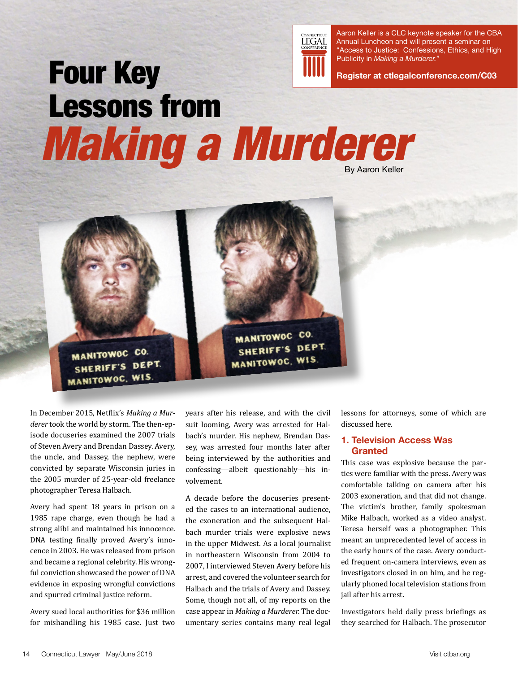

Aaron Keller is a CLC keynote speaker for the CBA Annual Luncheon and will present a seminar on "Access to Justice: Confessions, Ethics, and High Publicity in *Making a Murderer.*"

**[Register at ctlegalconference.com/C03](http://www.ctlegalconference.com/c03/)**

# Four Key Lessons from Making a Murderer By Aaron Keller



In December 2015, Netflix's *Making a Murderer* took the world by storm. The then-episode docuseries examined the 2007 trials of Steven Avery and Brendan Dassey. Avery, the uncle, and Dassey, the nephew, were convicted by separate Wisconsin juries in the 2005 murder of 25-year-old freelance photographer Teresa Halbach.

Avery had spent 18 years in prison on a 1985 rape charge, even though he had a strong alibi and maintained his innocence. DNA testing finally proved Avery's innocence in 2003. He was released from prison and became a regional celebrity. His wrongful conviction showcased the power of DNA evidence in exposing wrongful convictions and spurred criminal justice reform.

Avery sued local authorities for \$36 million for mishandling his 1985 case. Just two

years after his release, and with the civil suit looming, Avery was arrested for Halbach's murder. His nephew, Brendan Dassey, was arrested four months later after being interviewed by the authorities and confessing—albeit questionably—his involvement.

MANITOWOC CO. SHERIFF'S DEPT

**MANITOWOC, WIS** 

A decade before the docuseries presented the cases to an international audience, the exoneration and the subsequent Halbach murder trials were explosive news in the upper Midwest. As a local journalist in northeastern Wisconsin from 2004 to 2007, I interviewed Steven Avery before his arrest, and covered the volunteer search for Halbach and the trials of Avery and Dassey. Some, though not all, of my reports on the case appear in *Making a Murderer.* The documentary series contains many real legal lessons for attorneys, some of which are discussed here.

## **1. Television Access Was Granted**

This case was explosive because the parties were familiar with the press. Avery was comfortable talking on camera after his 2003 exoneration, and that did not change. The victim's brother, family spokesman Mike Halbach, worked as a video analyst. Teresa herself was a photographer. This meant an unprecedented level of access in the early hours of the case. Avery conducted frequent on-camera interviews, even as investigators closed in on him, and he regularly phoned local television stations from jail after his arrest.

Investigators held daily press briefings as they searched for Halbach. The prosecutor